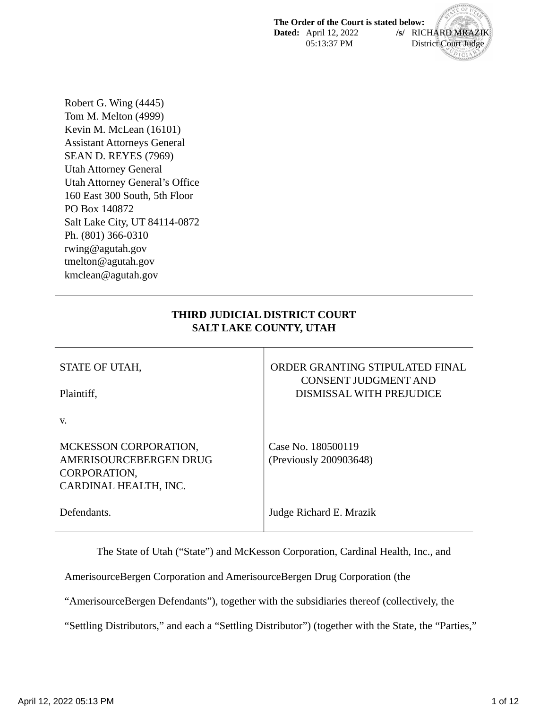**The Order of the Court is stated below: Dated:** April 12, 2022 **/s/** RICHARD MRAZIK 05:13:37 PM District Court Judge

 $D_{IC}$ 

Robert G. Wing (4445) Tom M. Melton (4999) Kevin M. McLean (16101) Assistant Attorneys General SEAN D. REYES (7969) Utah Attorney General Utah Attorney General's Office 160 East 300 South, 5th Floor PO Box 140872 Salt Lake City, UT 84114-0872 Ph. (801) 366-0310 rwing@agutah.gov tmelton@agutah.gov kmclean@agutah.gov

| STATE OF UTAH,<br>Plaintiff,                                                             | ORDER GRANTING STIPULATED FINAL<br><b>CONSENT JUDGMENT AND</b><br>DISMISSAL WITH PREJUDICE |
|------------------------------------------------------------------------------------------|--------------------------------------------------------------------------------------------|
| V.                                                                                       |                                                                                            |
| MCKESSON CORPORATION,<br>AMERISOURCEBERGEN DRUG<br>CORPORATION,<br>CARDINAL HEALTH, INC. | Case No. 180500119<br>(Previously 200903648)                                               |
| Defendants.                                                                              | Judge Richard E. Mrazik                                                                    |

## **THIRD JUDICIAL DISTRICT COURT SALT LAKE COUNTY, UTAH**

The State of Utah ("State") and McKesson Corporation, Cardinal Health, Inc., and

AmerisourceBergen Corporation and AmerisourceBergen Drug Corporation (the

"AmerisourceBergen Defendants"), together with the subsidiaries thereof (collectively, the

"Settling Distributors," and each a "Settling Distributor") (together with the State, the "Parties,"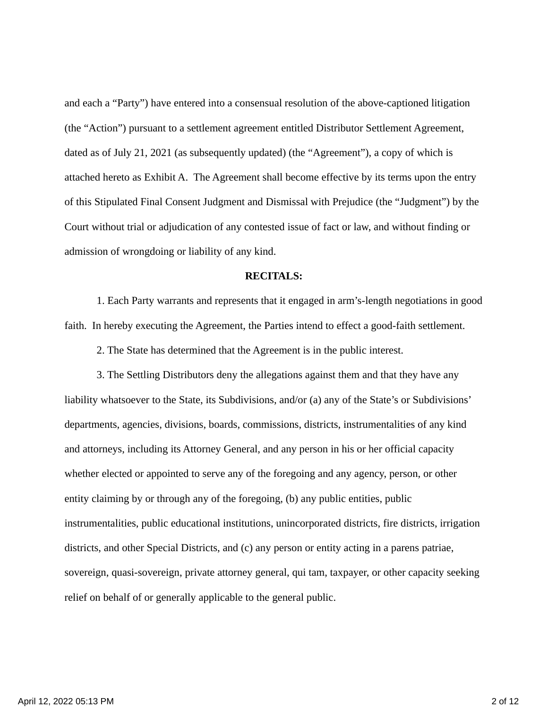and each a "Party") have entered into a consensual resolution of the above-captioned litigation (the "Action") pursuant to a settlement agreement entitled Distributor Settlement Agreement, dated as of July 21, 2021 (as subsequently updated) (the "Agreement"), a copy of which is attached hereto as Exhibit A. The Agreement shall become effective by its terms upon the entry of this Stipulated Final Consent Judgment and Dismissal with Prejudice (the "Judgment") by the Court without trial or adjudication of any contested issue of fact or law, and without finding or admission of wrongdoing or liability of any kind.

### **RECITALS:**

1. Each Party warrants and represents that it engaged in arm's-length negotiations in good faith. In hereby executing the Agreement, the Parties intend to effect a good-faith settlement.

2. The State has determined that the Agreement is in the public interest.

3. The Settling Distributors deny the allegations against them and that they have any liability whatsoever to the State, its Subdivisions, and/or (a) any of the State's or Subdivisions' departments, agencies, divisions, boards, commissions, districts, instrumentalities of any kind and attorneys, including its Attorney General, and any person in his or her official capacity whether elected or appointed to serve any of the foregoing and any agency, person, or other entity claiming by or through any of the foregoing, (b) any public entities, public instrumentalities, public educational institutions, unincorporated districts, fire districts, irrigation districts, and other Special Districts, and (c) any person or entity acting in a parens patriae, sovereign, quasi-sovereign, private attorney general, qui tam, taxpayer, or other capacity seeking relief on behalf of or generally applicable to the general public.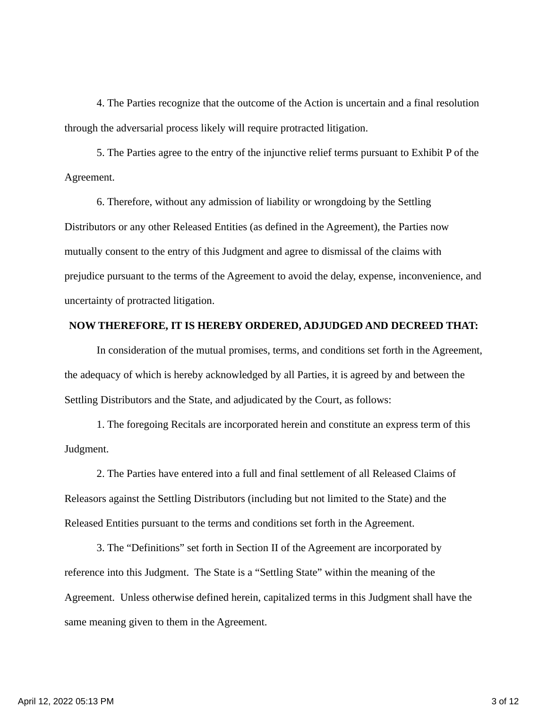4. The Parties recognize that the outcome of the Action is uncertain and a final resolution through the adversarial process likely will require protracted litigation.

5. The Parties agree to the entry of the injunctive relief terms pursuant to Exhibit P of the Agreement.

6. Therefore, without any admission of liability or wrongdoing by the Settling Distributors or any other Released Entities (as defined in the Agreement), the Parties now mutually consent to the entry of this Judgment and agree to dismissal of the claims with prejudice pursuant to the terms of the Agreement to avoid the delay, expense, inconvenience, and uncertainty of protracted litigation.

### **NOW THEREFORE, IT IS HEREBY ORDERED, ADJUDGED AND DECREED THAT:**

In consideration of the mutual promises, terms, and conditions set forth in the Agreement, the adequacy of which is hereby acknowledged by all Parties, it is agreed by and between the Settling Distributors and the State, and adjudicated by the Court, as follows:

1. The foregoing Recitals are incorporated herein and constitute an express term of this Judgment.

2. The Parties have entered into a full and final settlement of all Released Claims of Releasors against the Settling Distributors (including but not limited to the State) and the Released Entities pursuant to the terms and conditions set forth in the Agreement.

3. The "Definitions" set forth in Section II of the Agreement are incorporated by reference into this Judgment. The State is a "Settling State" within the meaning of the Agreement. Unless otherwise defined herein, capitalized terms in this Judgment shall have the same meaning given to them in the Agreement.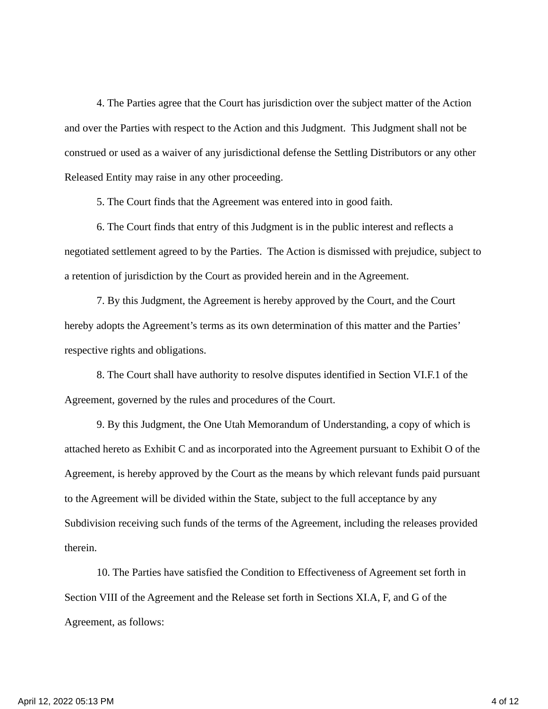4. The Parties agree that the Court has jurisdiction over the subject matter of the Action and over the Parties with respect to the Action and this Judgment. This Judgment shall not be construed or used as a waiver of any jurisdictional defense the Settling Distributors or any other Released Entity may raise in any other proceeding.

5. The Court finds that the Agreement was entered into in good faith.

6. The Court finds that entry of this Judgment is in the public interest and reflects a negotiated settlement agreed to by the Parties. The Action is dismissed with prejudice, subject to a retention of jurisdiction by the Court as provided herein and in the Agreement.

7. By this Judgment, the Agreement is hereby approved by the Court, and the Court hereby adopts the Agreement's terms as its own determination of this matter and the Parties' respective rights and obligations.

8. The Court shall have authority to resolve disputes identified in Section VI.F.1 of the Agreement, governed by the rules and procedures of the Court.

9. By this Judgment, the One Utah Memorandum of Understanding, a copy of which is attached hereto as Exhibit C and as incorporated into the Agreement pursuant to Exhibit O of the Agreement, is hereby approved by the Court as the means by which relevant funds paid pursuant to the Agreement will be divided within the State, subject to the full acceptance by any Subdivision receiving such funds of the terms of the Agreement, including the releases provided therein.

10. The Parties have satisfied the Condition to Effectiveness of Agreement set forth in Section VIII of the Agreement and the Release set forth in Sections XI.A, F, and G of the Agreement, as follows: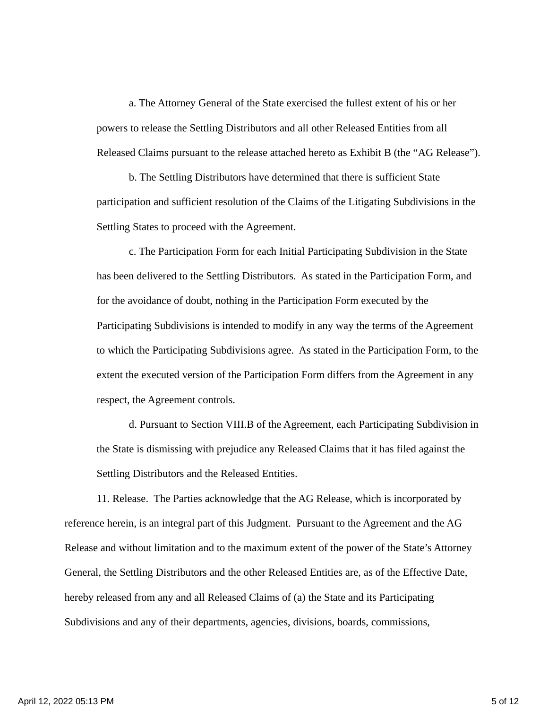a. The Attorney General of the State exercised the fullest extent of his or her powers to release the Settling Distributors and all other Released Entities from all Released Claims pursuant to the release attached hereto as Exhibit B (the "AG Release").

b. The Settling Distributors have determined that there is sufficient State participation and sufficient resolution of the Claims of the Litigating Subdivisions in the Settling States to proceed with the Agreement.

c. The Participation Form for each Initial Participating Subdivision in the State has been delivered to the Settling Distributors. As stated in the Participation Form, and for the avoidance of doubt, nothing in the Participation Form executed by the Participating Subdivisions is intended to modify in any way the terms of the Agreement to which the Participating Subdivisions agree. As stated in the Participation Form, to the extent the executed version of the Participation Form differs from the Agreement in any respect, the Agreement controls.

d. Pursuant to Section VIII.B of the Agreement, each Participating Subdivision in the State is dismissing with prejudice any Released Claims that it has filed against the Settling Distributors and the Released Entities.

11. Release. The Parties acknowledge that the AG Release, which is incorporated by reference herein, is an integral part of this Judgment. Pursuant to the Agreement and the AG Release and without limitation and to the maximum extent of the power of the State's Attorney General, the Settling Distributors and the other Released Entities are, as of the Effective Date, hereby released from any and all Released Claims of (a) the State and its Participating Subdivisions and any of their departments, agencies, divisions, boards, commissions,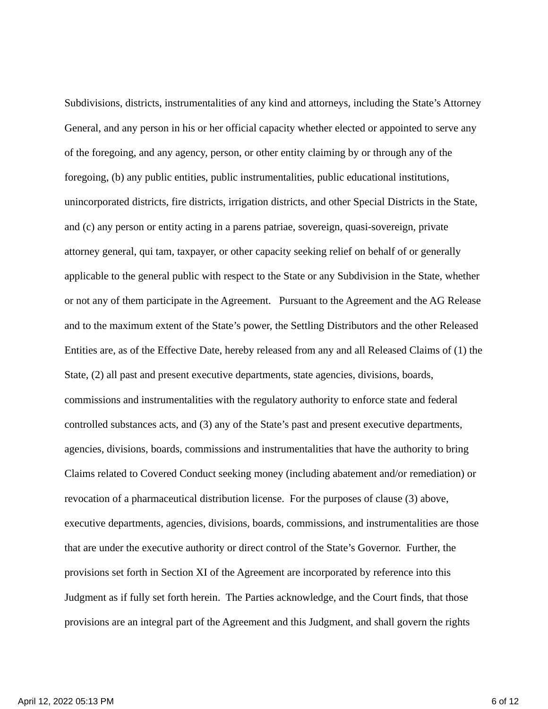Subdivisions, districts, instrumentalities of any kind and attorneys, including the State's Attorney General, and any person in his or her official capacity whether elected or appointed to serve any of the foregoing, and any agency, person, or other entity claiming by or through any of the foregoing, (b) any public entities, public instrumentalities, public educational institutions, unincorporated districts, fire districts, irrigation districts, and other Special Districts in the State, and (c) any person or entity acting in a parens patriae, sovereign, quasi-sovereign, private attorney general, qui tam, taxpayer, or other capacity seeking relief on behalf of or generally applicable to the general public with respect to the State or any Subdivision in the State, whether or not any of them participate in the Agreement. Pursuant to the Agreement and the AG Release and to the maximum extent of the State's power, the Settling Distributors and the other Released Entities are, as of the Effective Date, hereby released from any and all Released Claims of (1) the State, (2) all past and present executive departments, state agencies, divisions, boards, commissions and instrumentalities with the regulatory authority to enforce state and federal controlled substances acts, and (3) any of the State's past and present executive departments, agencies, divisions, boards, commissions and instrumentalities that have the authority to bring Claims related to Covered Conduct seeking money (including abatement and/or remediation) or revocation of a pharmaceutical distribution license. For the purposes of clause (3) above, executive departments, agencies, divisions, boards, commissions, and instrumentalities are those that are under the executive authority or direct control of the State's Governor. Further, the provisions set forth in Section XI of the Agreement are incorporated by reference into this Judgment as if fully set forth herein. The Parties acknowledge, and the Court finds, that those provisions are an integral part of the Agreement and this Judgment, and shall govern the rights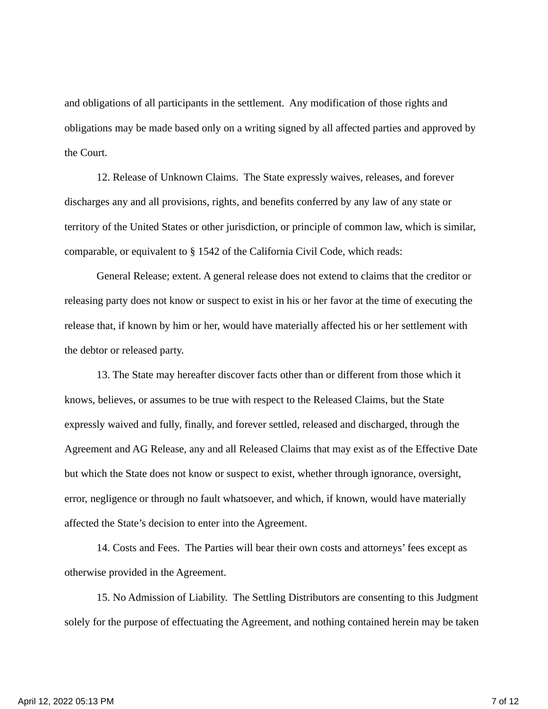and obligations of all participants in the settlement. Any modification of those rights and obligations may be made based only on a writing signed by all affected parties and approved by the Court.

12. Release of Unknown Claims. The State expressly waives, releases, and forever discharges any and all provisions, rights, and benefits conferred by any law of any state or territory of the United States or other jurisdiction, or principle of common law, which is similar, comparable, or equivalent to § 1542 of the California Civil Code, which reads:

General Release; extent. A general release does not extend to claims that the creditor or releasing party does not know or suspect to exist in his or her favor at the time of executing the release that, if known by him or her, would have materially affected his or her settlement with the debtor or released party.

13. The State may hereafter discover facts other than or different from those which it knows, believes, or assumes to be true with respect to the Released Claims, but the State expressly waived and fully, finally, and forever settled, released and discharged, through the Agreement and AG Release, any and all Released Claims that may exist as of the Effective Date but which the State does not know or suspect to exist, whether through ignorance, oversight, error, negligence or through no fault whatsoever, and which, if known, would have materially affected the State's decision to enter into the Agreement.

14. Costs and Fees. The Parties will bear their own costs and attorneys' fees except as otherwise provided in the Agreement.

15. No Admission of Liability. The Settling Distributors are consenting to this Judgment solely for the purpose of effectuating the Agreement, and nothing contained herein may be taken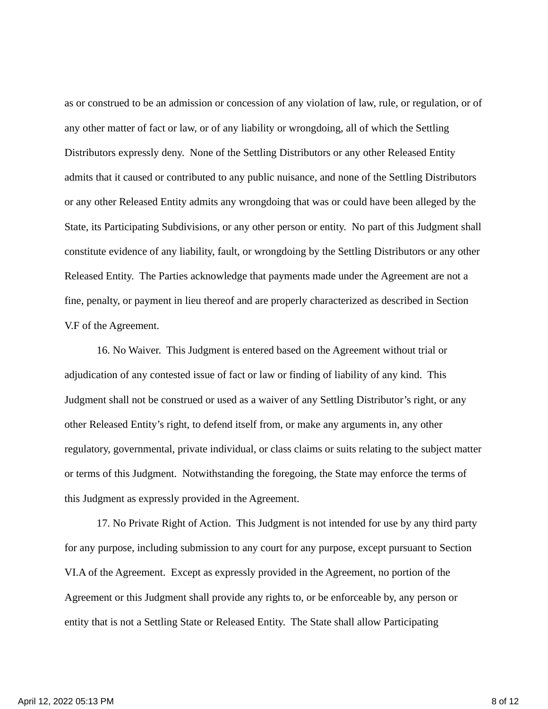as or construed to be an admission or concession of any violation of law, rule, or regulation, or of any other matter of fact or law, or of any liability or wrongdoing, all of which the Settling Distributors expressly deny. None of the Settling Distributors or any other Released Entity admits that it caused or contributed to any public nuisance, and none of the Settling Distributors or any other Released Entity admits any wrongdoing that was or could have been alleged by the State, its Participating Subdivisions, or any other person or entity. No part of this Judgment shall constitute evidence of any liability, fault, or wrongdoing by the Settling Distributors or any other Released Entity. The Parties acknowledge that payments made under the Agreement are not a fine, penalty, or payment in lieu thereof and are properly characterized as described in Section V.F of the Agreement.

16. No Waiver. This Judgment is entered based on the Agreement without trial or adjudication of any contested issue of fact or law or finding of liability of any kind. This Judgment shall not be construed or used as a waiver of any Settling Distributor's right, or any other Released Entity's right, to defend itself from, or make any arguments in, any other regulatory, governmental, private individual, or class claims or suits relating to the subject matter or terms of this Judgment. Notwithstanding the foregoing, the State may enforce the terms of this Judgment as expressly provided in the Agreement.

17. No Private Right of Action. This Judgment is not intended for use by any third party for any purpose, including submission to any court for any purpose, except pursuant to Section VI.A of the Agreement. Except as expressly provided in the Agreement, no portion of the Agreement or this Judgment shall provide any rights to, or be enforceable by, any person or entity that is not a Settling State or Released Entity. The State shall allow Participating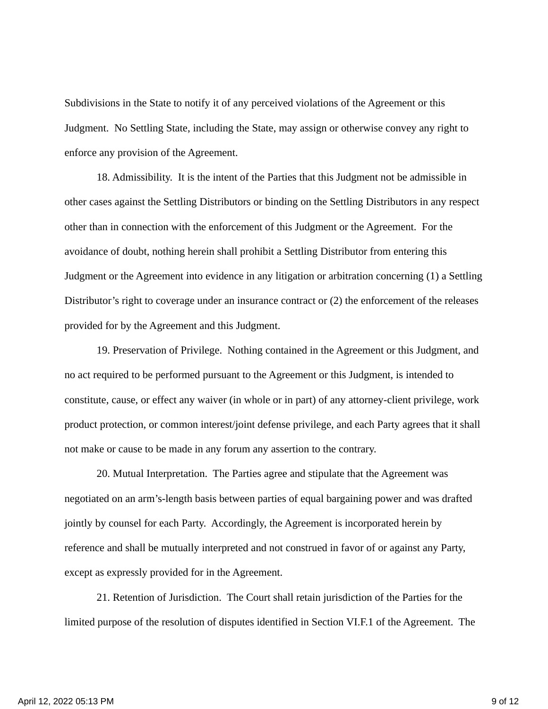Subdivisions in the State to notify it of any perceived violations of the Agreement or this Judgment. No Settling State, including the State, may assign or otherwise convey any right to enforce any provision of the Agreement.

18. Admissibility. It is the intent of the Parties that this Judgment not be admissible in other cases against the Settling Distributors or binding on the Settling Distributors in any respect other than in connection with the enforcement of this Judgment or the Agreement. For the avoidance of doubt, nothing herein shall prohibit a Settling Distributor from entering this Judgment or the Agreement into evidence in any litigation or arbitration concerning (1) a Settling Distributor's right to coverage under an insurance contract or (2) the enforcement of the releases provided for by the Agreement and this Judgment.

19. Preservation of Privilege. Nothing contained in the Agreement or this Judgment, and no act required to be performed pursuant to the Agreement or this Judgment, is intended to constitute, cause, or effect any waiver (in whole or in part) of any attorney-client privilege, work product protection, or common interest/joint defense privilege, and each Party agrees that it shall not make or cause to be made in any forum any assertion to the contrary.

20. Mutual Interpretation. The Parties agree and stipulate that the Agreement was negotiated on an arm's-length basis between parties of equal bargaining power and was drafted jointly by counsel for each Party. Accordingly, the Agreement is incorporated herein by reference and shall be mutually interpreted and not construed in favor of or against any Party, except as expressly provided for in the Agreement.

21. Retention of Jurisdiction. The Court shall retain jurisdiction of the Parties for the limited purpose of the resolution of disputes identified in Section VI.F.1 of the Agreement. The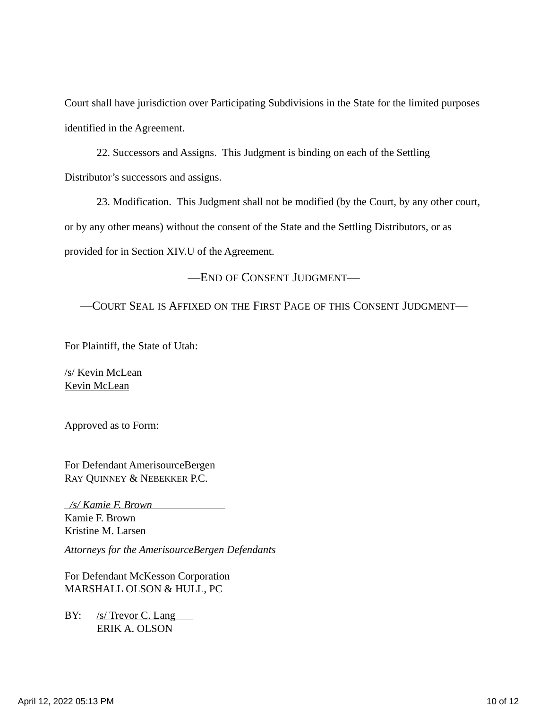Court shall have jurisdiction over Participating Subdivisions in the State for the limited purposes identified in the Agreement.

22. Successors and Assigns. This Judgment is binding on each of the Settling Distributor's successors and assigns.

23. Modification. This Judgment shall not be modified (by the Court, by any other court, or by any other means) without the consent of the State and the Settling Distributors, or as provided for in Section XIV.U of the Agreement.

—END OF CONSENT JUDGMENT—

—COURT SEAL IS AFFIXED ON THE FIRST PAGE OF THIS CONSENT JUDGMENT—

For Plaintiff, the State of Utah:

/s/ Kevin McLean Kevin McLean

Approved as to Form:

For Defendant AmerisourceBergen RAY QUINNEY & NEBEKKER P.C.

 */s/ Kamie F. Brown*  Kamie F. Brown Kristine M. Larsen

*Attorneys for the AmerisourceBergen Defendants*

For Defendant McKesson Corporation MARSHALL OLSON & HULL, PC

BY: /s/ Trevor C. Lang ERIK A. OLSON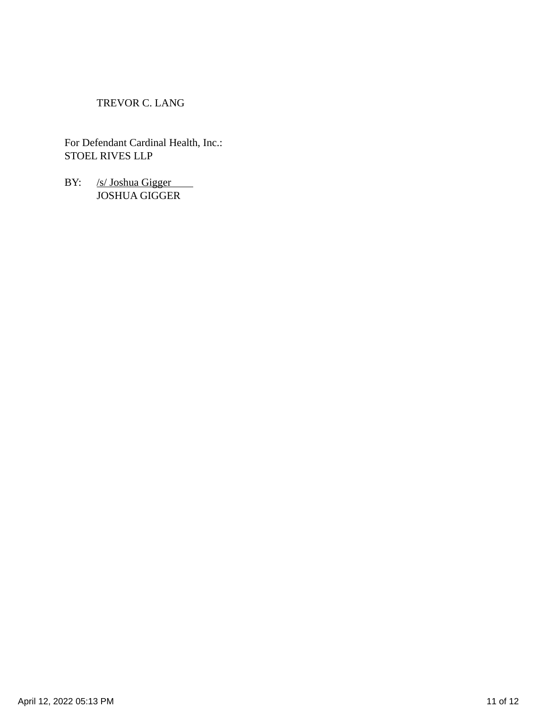## TREVOR C. LANG

For Defendant Cardinal Health, Inc.: STOEL RIVES LLP

BY: /s/ Joshua Gigger JOSHUA GIGGER